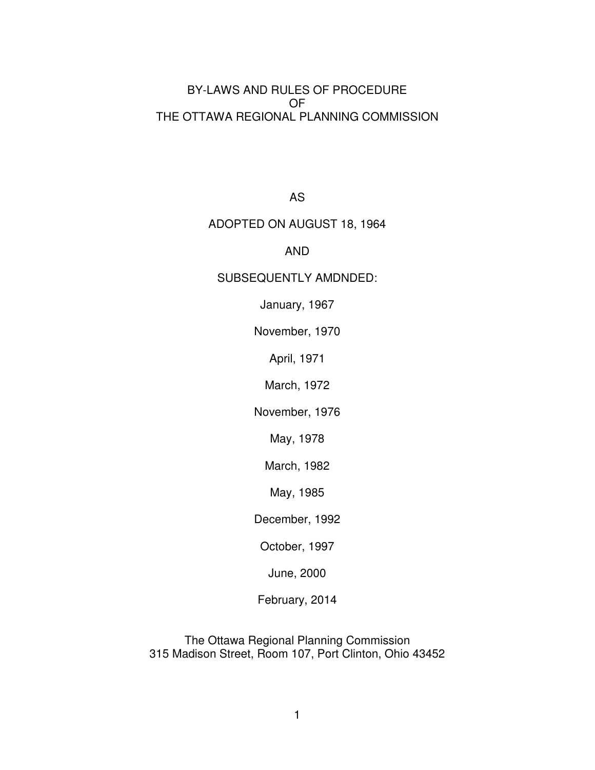### BY-LAWS AND RULES OF PROCEDURE OF THE OTTAWA REGIONAL PLANNING COMMISSION

AS

### ADOPTED ON AUGUST 18, 1964

### AND

### SUBSEQUENTLY AMDNDED:

January, 1967

November, 1970

April, 1971

March, 1972

November, 1976

May, 1978

March, 1982

May, 1985

December, 1992

October, 1997

June, 2000

February, 2014

The Ottawa Regional Planning Commission 315 Madison Street, Room 107, Port Clinton, Ohio 43452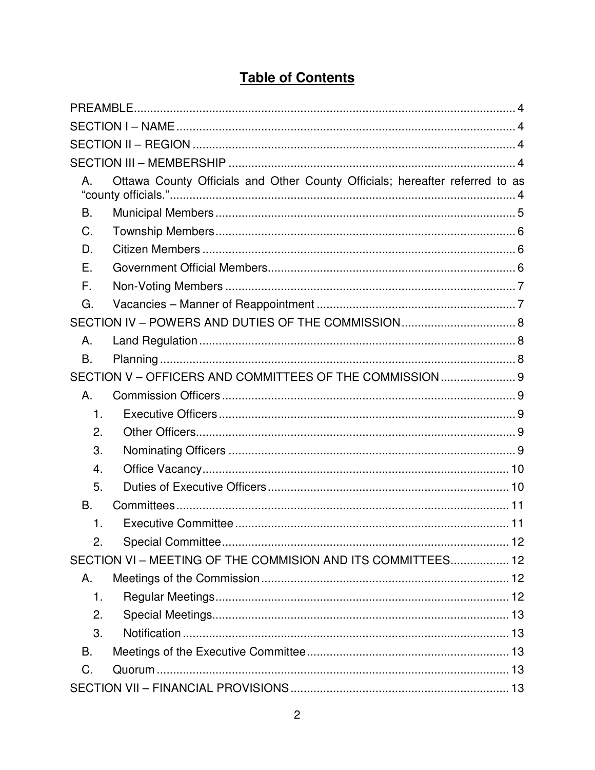# **Table of Contents**

| А.            | Ottawa County Officials and Other County Officials; hereafter referred to as |  |
|---------------|------------------------------------------------------------------------------|--|
| Β.            |                                                                              |  |
| C.            |                                                                              |  |
| D.            |                                                                              |  |
| Ε.            |                                                                              |  |
| F.            |                                                                              |  |
| G.            |                                                                              |  |
|               |                                                                              |  |
| Α.            |                                                                              |  |
| B.            |                                                                              |  |
|               | SECTION V - OFFICERS AND COMMITTEES OF THE COMMISSION 9                      |  |
| Α.            |                                                                              |  |
| $\mathbf 1$ . |                                                                              |  |
| 2.            |                                                                              |  |
| 3.            |                                                                              |  |
| 4.            |                                                                              |  |
| 5.            |                                                                              |  |
| В.            |                                                                              |  |
| 1.            |                                                                              |  |
| 2.            |                                                                              |  |
|               | SECTION VI - MEETING OF THE COMMISION AND ITS COMMITTEES 12                  |  |
| Α.            |                                                                              |  |
| 1.            |                                                                              |  |
| 2.            |                                                                              |  |
| 3.            |                                                                              |  |
| В.            |                                                                              |  |
| C.            |                                                                              |  |
|               |                                                                              |  |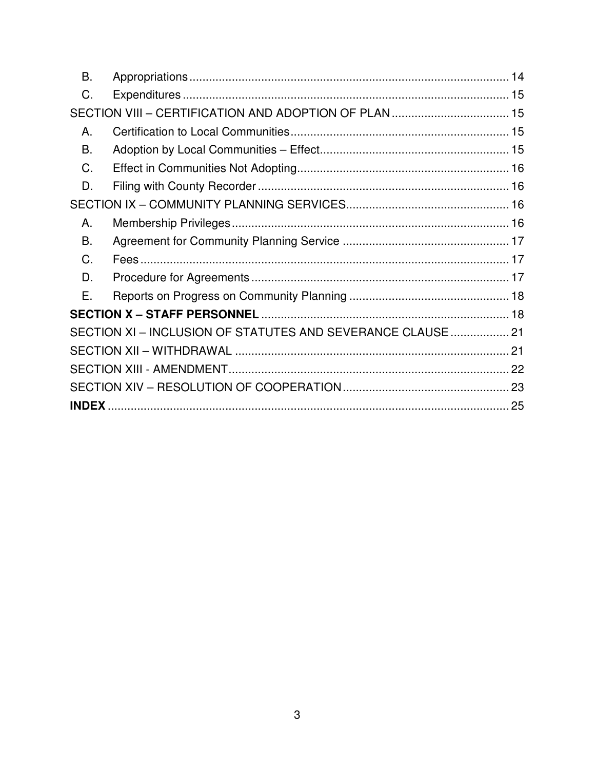| <b>B.</b> |                                                             |  |
|-----------|-------------------------------------------------------------|--|
| C.        |                                                             |  |
|           |                                                             |  |
| Α.        |                                                             |  |
| B.        |                                                             |  |
| C.        |                                                             |  |
| D.        |                                                             |  |
|           |                                                             |  |
| Α.        |                                                             |  |
| В.        |                                                             |  |
| C.        |                                                             |  |
| D.        |                                                             |  |
| Е.        |                                                             |  |
|           |                                                             |  |
|           | SECTION XI - INCLUSION OF STATUTES AND SEVERANCE CLAUSE  21 |  |
|           |                                                             |  |
|           |                                                             |  |
|           |                                                             |  |
|           |                                                             |  |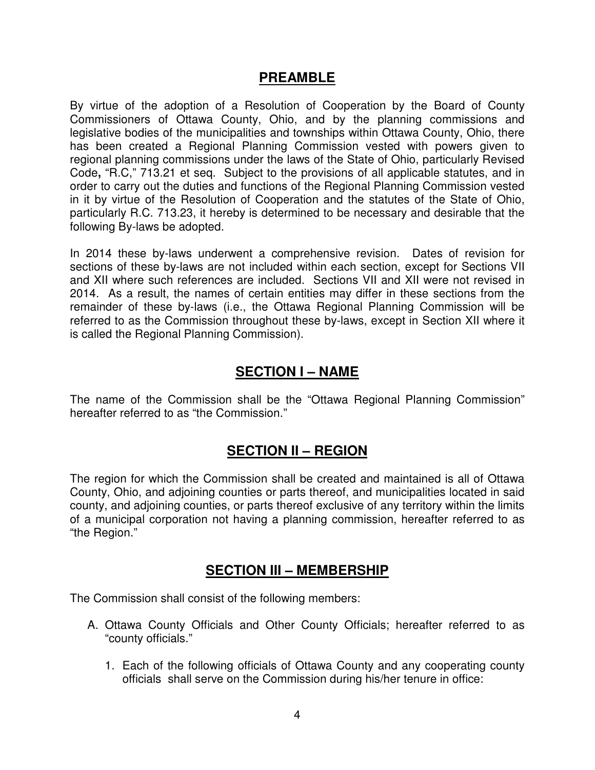## **PREAMBLE**

By virtue of the adoption of a Resolution of Cooperation by the Board of County Commissioners of Ottawa County, Ohio, and by the planning commissions and legislative bodies of the municipalities and townships within Ottawa County, Ohio, there has been created a Regional Planning Commission vested with powers given to regional planning commissions under the laws of the State of Ohio, particularly Revised Code**,** "R.C," 713.21 et seq. Subject to the provisions of all applicable statutes, and in order to carry out the duties and functions of the Regional Planning Commission vested in it by virtue of the Resolution of Cooperation and the statutes of the State of Ohio, particularly R.C. 713.23, it hereby is determined to be necessary and desirable that the following By-laws be adopted.

In 2014 these by-laws underwent a comprehensive revision. Dates of revision for sections of these by-laws are not included within each section, except for Sections VII and XII where such references are included. Sections VII and XII were not revised in 2014. As a result, the names of certain entities may differ in these sections from the remainder of these by-laws (i.e., the Ottawa Regional Planning Commission will be referred to as the Commission throughout these by-laws, except in Section XII where it is called the Regional Planning Commission).

## **SECTION I – NAME**

The name of the Commission shall be the "Ottawa Regional Planning Commission" hereafter referred to as "the Commission."

# **SECTION II – REGION**

The region for which the Commission shall be created and maintained is all of Ottawa County, Ohio, and adjoining counties or parts thereof, and municipalities located in said county, and adjoining counties, or parts thereof exclusive of any territory within the limits of a municipal corporation not having a planning commission, hereafter referred to as "the Region."

# **SECTION III – MEMBERSHIP**

The Commission shall consist of the following members:

- A. Ottawa County Officials and Other County Officials; hereafter referred to as "county officials."
	- 1. Each of the following officials of Ottawa County and any cooperating county officials shall serve on the Commission during his/her tenure in office: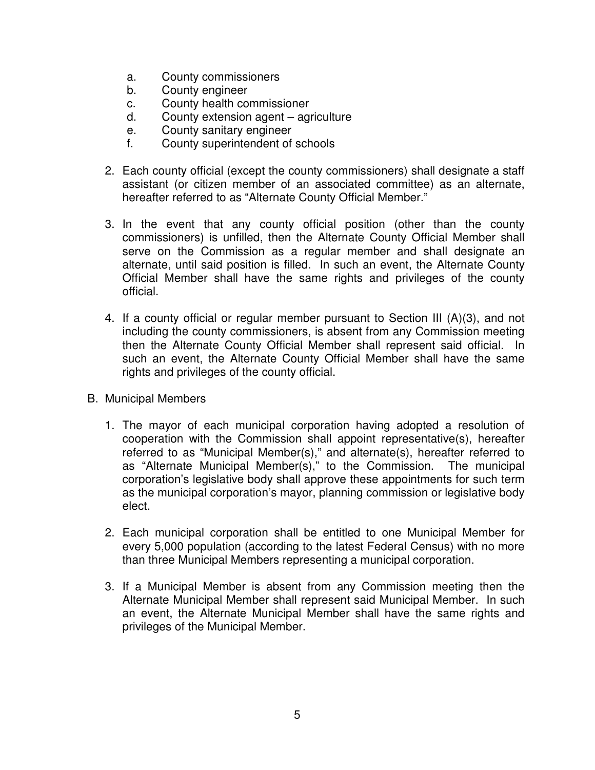- a. County commissioners
- b. County engineer
- c. County health commissioner
- d. County extension agent agriculture
- e. County sanitary engineer
- f. County superintendent of schools
- 2. Each county official (except the county commissioners) shall designate a staff assistant (or citizen member of an associated committee) as an alternate, hereafter referred to as "Alternate County Official Member."
- 3. In the event that any county official position (other than the county commissioners) is unfilled, then the Alternate County Official Member shall serve on the Commission as a regular member and shall designate an alternate, until said position is filled. In such an event, the Alternate County Official Member shall have the same rights and privileges of the county official.
- 4. If a county official or regular member pursuant to Section III (A)(3), and not including the county commissioners, is absent from any Commission meeting then the Alternate County Official Member shall represent said official. In such an event, the Alternate County Official Member shall have the same rights and privileges of the county official.
- B. Municipal Members
	- 1. The mayor of each municipal corporation having adopted a resolution of cooperation with the Commission shall appoint representative(s), hereafter referred to as "Municipal Member(s)," and alternate(s), hereafter referred to as "Alternate Municipal Member(s)," to the Commission. The municipal corporation's legislative body shall approve these appointments for such term as the municipal corporation's mayor, planning commission or legislative body elect.
	- 2. Each municipal corporation shall be entitled to one Municipal Member for every 5,000 population (according to the latest Federal Census) with no more than three Municipal Members representing a municipal corporation.
	- 3. If a Municipal Member is absent from any Commission meeting then the Alternate Municipal Member shall represent said Municipal Member. In such an event, the Alternate Municipal Member shall have the same rights and privileges of the Municipal Member.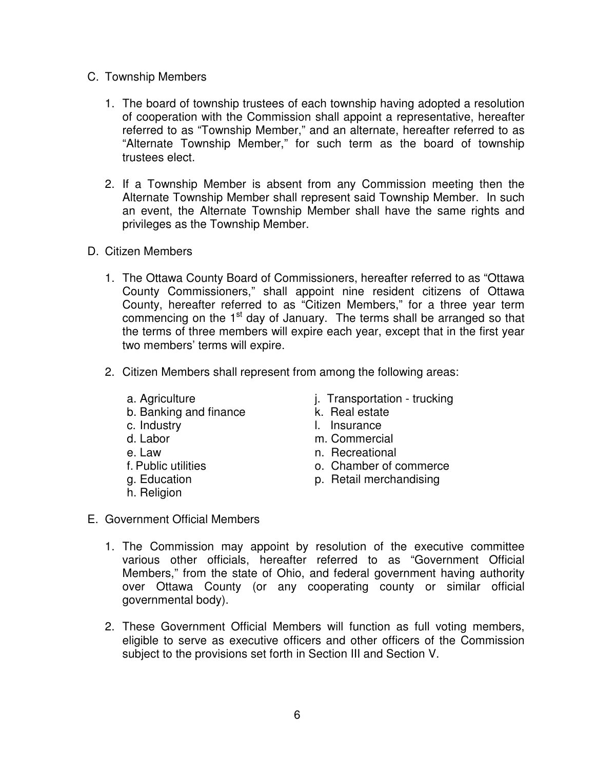- C. Township Members
	- 1. The board of township trustees of each township having adopted a resolution of cooperation with the Commission shall appoint a representative, hereafter referred to as "Township Member," and an alternate, hereafter referred to as "Alternate Township Member," for such term as the board of township trustees elect.
	- 2. If a Township Member is absent from any Commission meeting then the Alternate Township Member shall represent said Township Member. In such an event, the Alternate Township Member shall have the same rights and privileges as the Township Member.
- D. Citizen Members
	- 1. The Ottawa County Board of Commissioners, hereafter referred to as "Ottawa County Commissioners," shall appoint nine resident citizens of Ottawa County, hereafter referred to as "Citizen Members," for a three year term commencing on the 1<sup>st</sup> day of January. The terms shall be arranged so that the terms of three members will expire each year, except that in the first year two members' terms will expire.
	- 2. Citizen Members shall represent from among the following areas:
		-
		- b. Banking and finance **k.** Real estate
		-
		-
		-
		-
		-
		- h. Religion
- a. Agriculture i. Transportation trucking
	-
- c. Industry **c.** Insurance
- d. Labor m. Commercial
- e. Law n. Recreational
- f. Public utilities o. Chamber of commerce
- g. Education **p. Retail merchandising**
- E. Government Official Members
	- 1. The Commission may appoint by resolution of the executive committee various other officials, hereafter referred to as "Government Official Members," from the state of Ohio, and federal government having authority over Ottawa County (or any cooperating county or similar official governmental body).
	- 2. These Government Official Members will function as full voting members, eligible to serve as executive officers and other officers of the Commission subject to the provisions set forth in Section III and Section V.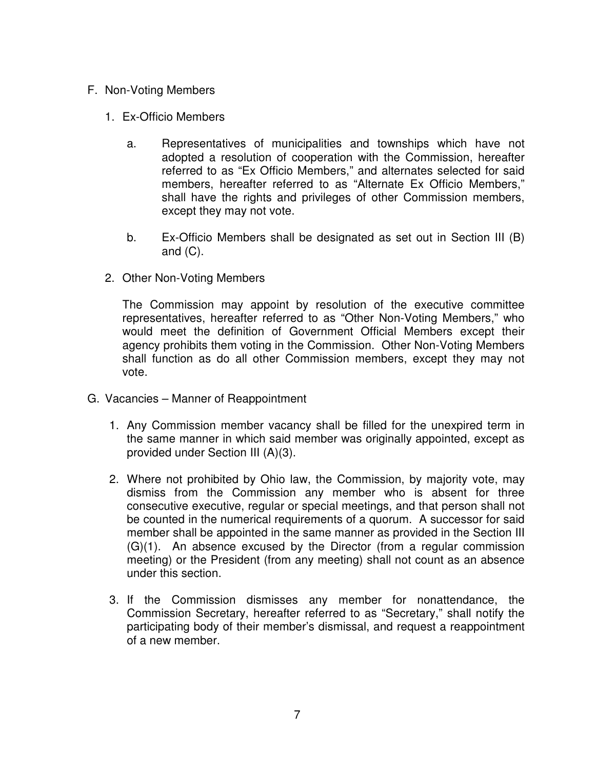- F. Non-Voting Members
	- 1. Ex-Officio Members
		- a. Representatives of municipalities and townships which have not adopted a resolution of cooperation with the Commission, hereafter referred to as "Ex Officio Members," and alternates selected for said members, hereafter referred to as "Alternate Ex Officio Members," shall have the rights and privileges of other Commission members, except they may not vote.
		- b. Ex-Officio Members shall be designated as set out in Section III (B) and  $(C)$ .
	- 2. Other Non-Voting Members

The Commission may appoint by resolution of the executive committee representatives, hereafter referred to as "Other Non-Voting Members," who would meet the definition of Government Official Members except their agency prohibits them voting in the Commission. Other Non-Voting Members shall function as do all other Commission members, except they may not vote.

- G. Vacancies Manner of Reappointment
	- 1. Any Commission member vacancy shall be filled for the unexpired term in the same manner in which said member was originally appointed, except as provided under Section III (A)(3).
	- 2. Where not prohibited by Ohio law, the Commission, by majority vote, may dismiss from the Commission any member who is absent for three consecutive executive, regular or special meetings, and that person shall not be counted in the numerical requirements of a quorum. A successor for said member shall be appointed in the same manner as provided in the Section III (G)(1). An absence excused by the Director (from a regular commission meeting) or the President (from any meeting) shall not count as an absence under this section.
	- 3. If the Commission dismisses any member for nonattendance, the Commission Secretary, hereafter referred to as "Secretary," shall notify the participating body of their member's dismissal, and request a reappointment of a new member.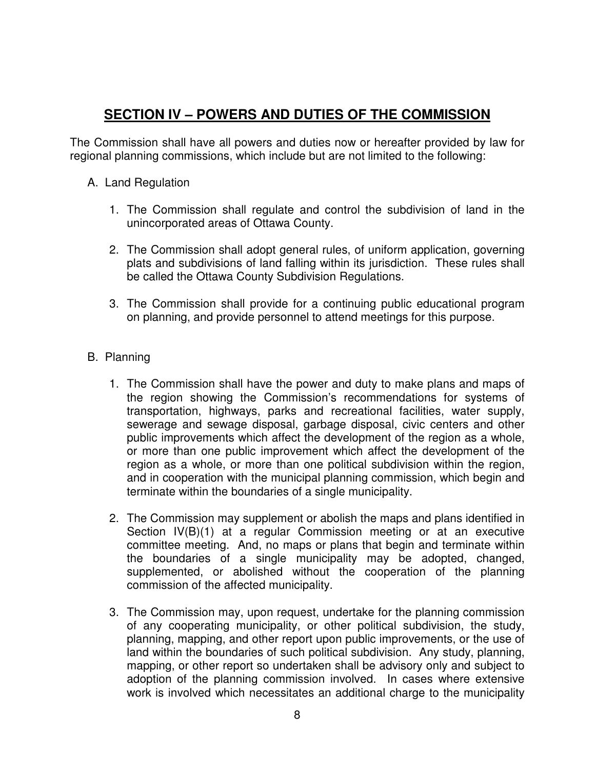# **SECTION IV – POWERS AND DUTIES OF THE COMMISSION**

The Commission shall have all powers and duties now or hereafter provided by law for regional planning commissions, which include but are not limited to the following:

## A. Land Regulation

- 1. The Commission shall regulate and control the subdivision of land in the unincorporated areas of Ottawa County.
- 2. The Commission shall adopt general rules, of uniform application, governing plats and subdivisions of land falling within its jurisdiction. These rules shall be called the Ottawa County Subdivision Regulations.
- 3. The Commission shall provide for a continuing public educational program on planning, and provide personnel to attend meetings for this purpose.

## B. Planning

- 1. The Commission shall have the power and duty to make plans and maps of the region showing the Commission's recommendations for systems of transportation, highways, parks and recreational facilities, water supply, sewerage and sewage disposal, garbage disposal, civic centers and other public improvements which affect the development of the region as a whole, or more than one public improvement which affect the development of the region as a whole, or more than one political subdivision within the region, and in cooperation with the municipal planning commission, which begin and terminate within the boundaries of a single municipality.
- 2. The Commission may supplement or abolish the maps and plans identified in Section IV(B)(1) at a regular Commission meeting or at an executive committee meeting. And, no maps or plans that begin and terminate within the boundaries of a single municipality may be adopted, changed, supplemented, or abolished without the cooperation of the planning commission of the affected municipality.
- 3. The Commission may, upon request, undertake for the planning commission of any cooperating municipality, or other political subdivision, the study, planning, mapping, and other report upon public improvements, or the use of land within the boundaries of such political subdivision. Any study, planning, mapping, or other report so undertaken shall be advisory only and subject to adoption of the planning commission involved. In cases where extensive work is involved which necessitates an additional charge to the municipality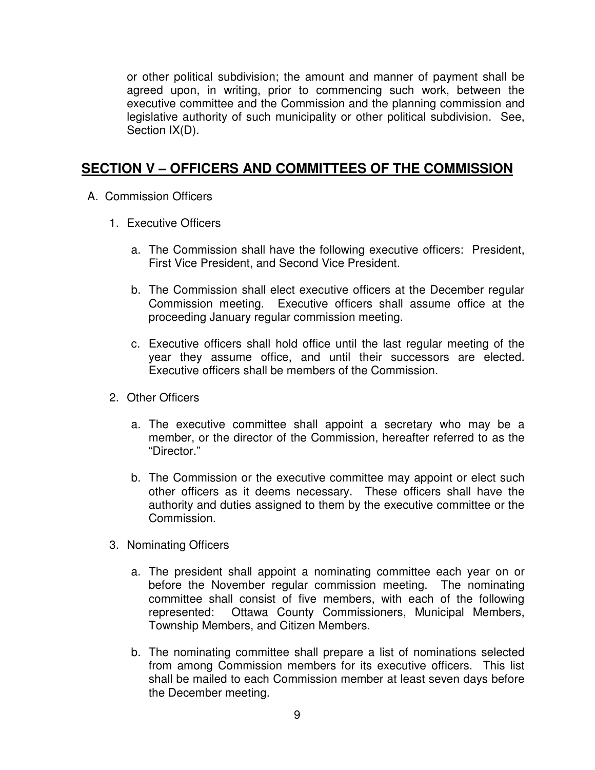or other political subdivision; the amount and manner of payment shall be agreed upon, in writing, prior to commencing such work, between the executive committee and the Commission and the planning commission and legislative authority of such municipality or other political subdivision. See, Section IX(D).

# **SECTION V – OFFICERS AND COMMITTEES OF THE COMMISSION**

- A. Commission Officers
	- 1. Executive Officers
		- a. The Commission shall have the following executive officers: President, First Vice President, and Second Vice President.
		- b. The Commission shall elect executive officers at the December regular Commission meeting. Executive officers shall assume office at the proceeding January regular commission meeting.
		- c. Executive officers shall hold office until the last regular meeting of the year they assume office, and until their successors are elected. Executive officers shall be members of the Commission.
	- 2. Other Officers
		- a. The executive committee shall appoint a secretary who may be a member, or the director of the Commission, hereafter referred to as the "Director."
		- b. The Commission or the executive committee may appoint or elect such other officers as it deems necessary. These officers shall have the authority and duties assigned to them by the executive committee or the Commission.
	- 3. Nominating Officers
		- a. The president shall appoint a nominating committee each year on or before the November regular commission meeting. The nominating committee shall consist of five members, with each of the following represented: Ottawa County Commissioners, Municipal Members, Township Members, and Citizen Members.
		- b. The nominating committee shall prepare a list of nominations selected from among Commission members for its executive officers. This list shall be mailed to each Commission member at least seven days before the December meeting.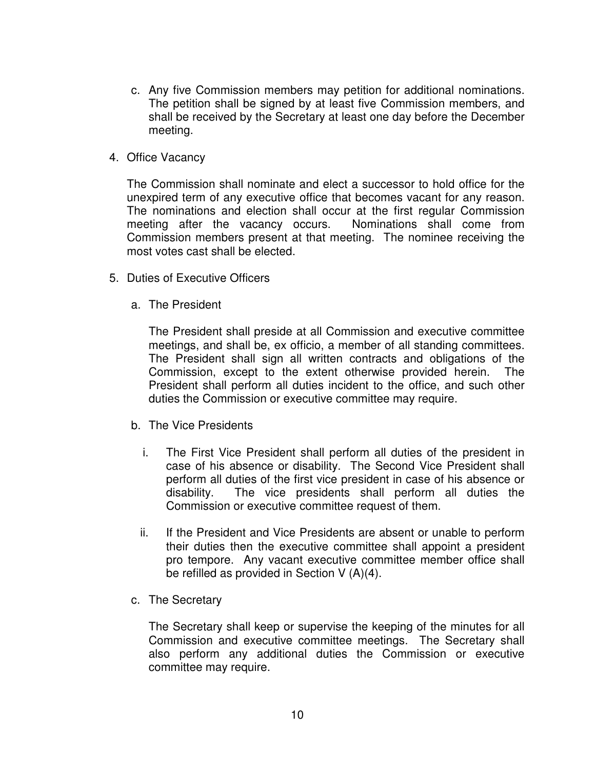- c. Any five Commission members may petition for additional nominations. The petition shall be signed by at least five Commission members, and shall be received by the Secretary at least one day before the December meeting.
- 4. Office Vacancy

The Commission shall nominate and elect a successor to hold office for the unexpired term of any executive office that becomes vacant for any reason. The nominations and election shall occur at the first regular Commission meeting after the vacancy occurs. Nominations shall come from Commission members present at that meeting. The nominee receiving the most votes cast shall be elected.

- 5. Duties of Executive Officers
	- a. The President

The President shall preside at all Commission and executive committee meetings, and shall be, ex officio, a member of all standing committees. The President shall sign all written contracts and obligations of the Commission, except to the extent otherwise provided herein. The President shall perform all duties incident to the office, and such other duties the Commission or executive committee may require.

- b. The Vice Presidents
	- i. The First Vice President shall perform all duties of the president in case of his absence or disability. The Second Vice President shall perform all duties of the first vice president in case of his absence or disability. The vice presidents shall perform all duties the Commission or executive committee request of them.
	- ii. If the President and Vice Presidents are absent or unable to perform their duties then the executive committee shall appoint a president pro tempore. Any vacant executive committee member office shall be refilled as provided in Section V (A)(4).
- c. The Secretary

The Secretary shall keep or supervise the keeping of the minutes for all Commission and executive committee meetings. The Secretary shall also perform any additional duties the Commission or executive committee may require.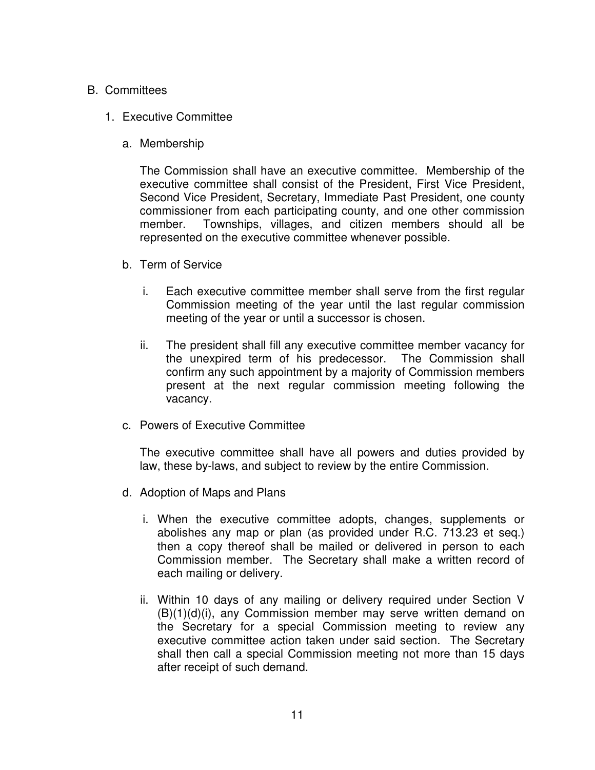### B. Committees

- 1. Executive Committee
	- a. Membership

The Commission shall have an executive committee. Membership of the executive committee shall consist of the President, First Vice President, Second Vice President, Secretary, Immediate Past President, one county commissioner from each participating county, and one other commission member. Townships, villages, and citizen members should all be represented on the executive committee whenever possible.

- b. Term of Service
	- i. Each executive committee member shall serve from the first regular Commission meeting of the year until the last regular commission meeting of the year or until a successor is chosen.
	- ii. The president shall fill any executive committee member vacancy for the unexpired term of his predecessor. The Commission shall confirm any such appointment by a majority of Commission members present at the next regular commission meeting following the vacancy.
- c. Powers of Executive Committee

The executive committee shall have all powers and duties provided by law, these by-laws, and subject to review by the entire Commission.

- d. Adoption of Maps and Plans
	- i. When the executive committee adopts, changes, supplements or abolishes any map or plan (as provided under R.C. 713.23 et seq.) then a copy thereof shall be mailed or delivered in person to each Commission member. The Secretary shall make a written record of each mailing or delivery.
	- ii. Within 10 days of any mailing or delivery required under Section V (B)(1)(d)(i), any Commission member may serve written demand on the Secretary for a special Commission meeting to review any executive committee action taken under said section. The Secretary shall then call a special Commission meeting not more than 15 days after receipt of such demand.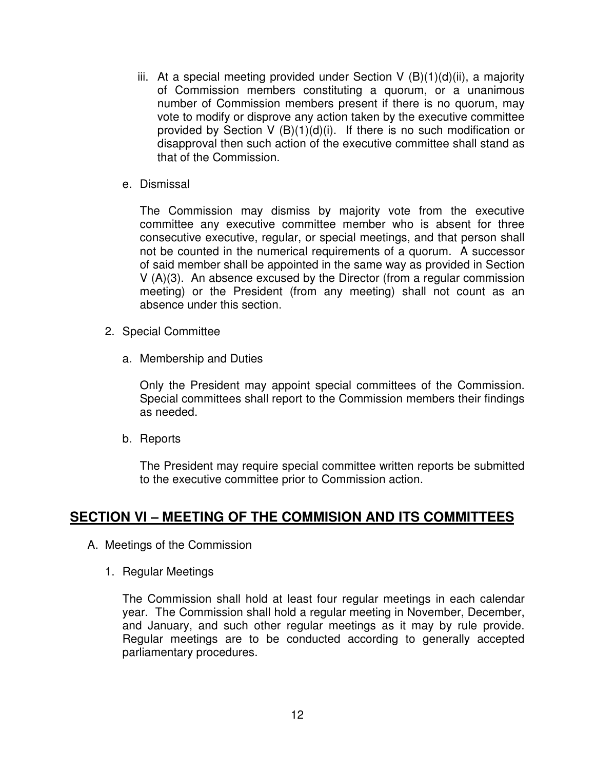- iii. At a special meeting provided under Section V  $(B)(1)(d)(ii)$ , a majority of Commission members constituting a quorum, or a unanimous number of Commission members present if there is no quorum, may vote to modify or disprove any action taken by the executive committee provided by Section V  $(B)(1)(d)(i)$ . If there is no such modification or disapproval then such action of the executive committee shall stand as that of the Commission.
- e. Dismissal

The Commission may dismiss by majority vote from the executive committee any executive committee member who is absent for three consecutive executive, regular, or special meetings, and that person shall not be counted in the numerical requirements of a quorum. A successor of said member shall be appointed in the same way as provided in Section V (A)(3). An absence excused by the Director (from a regular commission meeting) or the President (from any meeting) shall not count as an absence under this section.

- 2. Special Committee
	- a. Membership and Duties

Only the President may appoint special committees of the Commission. Special committees shall report to the Commission members their findings as needed.

b. Reports

The President may require special committee written reports be submitted to the executive committee prior to Commission action.

# **SECTION VI – MEETING OF THE COMMISION AND ITS COMMITTEES**

- A. Meetings of the Commission
	- 1. Regular Meetings

The Commission shall hold at least four regular meetings in each calendar year. The Commission shall hold a regular meeting in November, December, and January, and such other regular meetings as it may by rule provide. Regular meetings are to be conducted according to generally accepted parliamentary procedures.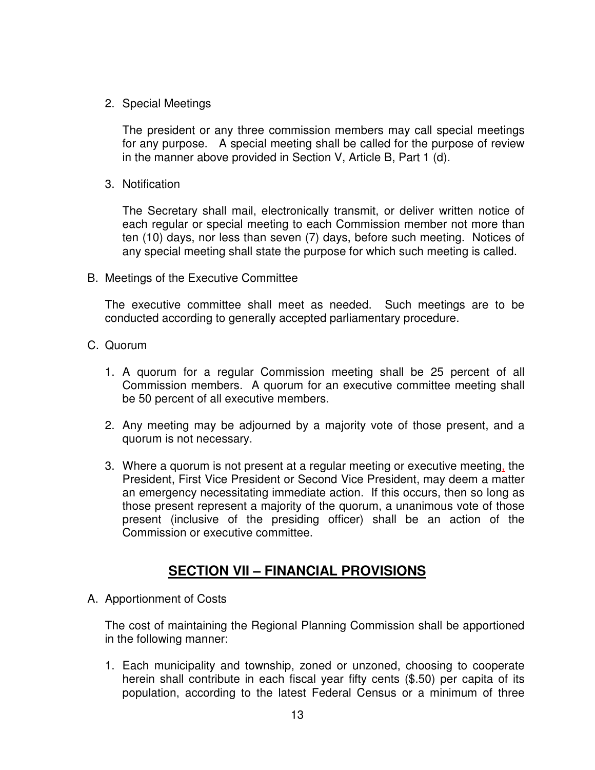2. Special Meetings

The president or any three commission members may call special meetings for any purpose. A special meeting shall be called for the purpose of review in the manner above provided in Section V, Article B, Part 1 (d).

3. Notification

The Secretary shall mail, electronically transmit, or deliver written notice of each regular or special meeting to each Commission member not more than ten (10) days, nor less than seven (7) days, before such meeting. Notices of any special meeting shall state the purpose for which such meeting is called.

B. Meetings of the Executive Committee

The executive committee shall meet as needed. Such meetings are to be conducted according to generally accepted parliamentary procedure.

- C. Quorum
	- 1. A quorum for a regular Commission meeting shall be 25 percent of all Commission members. A quorum for an executive committee meeting shall be 50 percent of all executive members.
	- 2. Any meeting may be adjourned by a majority vote of those present, and a quorum is not necessary.
	- 3. Where a quorum is not present at a regular meeting or executive meeting, the President, First Vice President or Second Vice President, may deem a matter an emergency necessitating immediate action. If this occurs, then so long as those present represent a majority of the quorum, a unanimous vote of those present (inclusive of the presiding officer) shall be an action of the Commission or executive committee.

# **SECTION VII – FINANCIAL PROVISIONS**

A. Apportionment of Costs

The cost of maintaining the Regional Planning Commission shall be apportioned in the following manner:

1. Each municipality and township, zoned or unzoned, choosing to cooperate herein shall contribute in each fiscal year fifty cents (\$.50) per capita of its population, according to the latest Federal Census or a minimum of three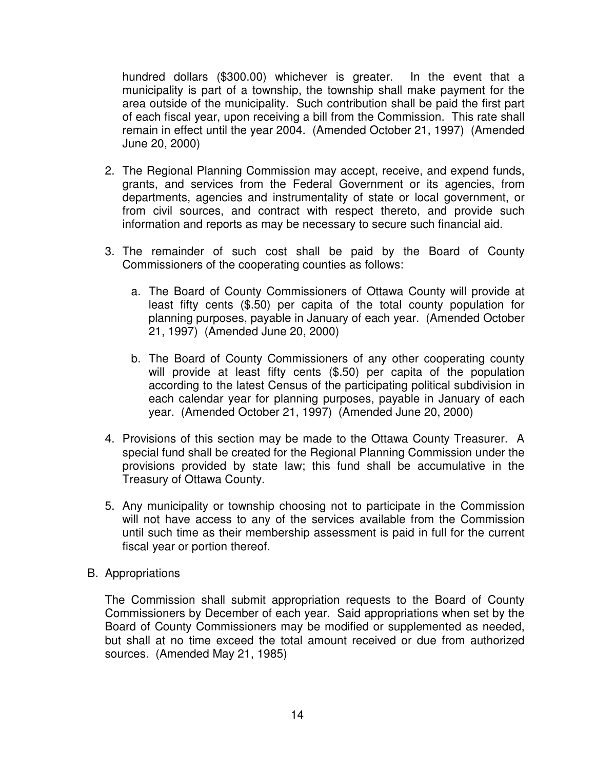hundred dollars (\$300.00) whichever is greater. In the event that a municipality is part of a township, the township shall make payment for the area outside of the municipality. Such contribution shall be paid the first part of each fiscal year, upon receiving a bill from the Commission. This rate shall remain in effect until the year 2004. (Amended October 21, 1997) (Amended June 20, 2000)

- 2. The Regional Planning Commission may accept, receive, and expend funds, grants, and services from the Federal Government or its agencies, from departments, agencies and instrumentality of state or local government, or from civil sources, and contract with respect thereto, and provide such information and reports as may be necessary to secure such financial aid.
- 3. The remainder of such cost shall be paid by the Board of County Commissioners of the cooperating counties as follows:
	- a. The Board of County Commissioners of Ottawa County will provide at least fifty cents (\$.50) per capita of the total county population for planning purposes, payable in January of each year. (Amended October 21, 1997) (Amended June 20, 2000)
	- b. The Board of County Commissioners of any other cooperating county will provide at least fifty cents (\$.50) per capita of the population according to the latest Census of the participating political subdivision in each calendar year for planning purposes, payable in January of each year. (Amended October 21, 1997) (Amended June 20, 2000)
- 4. Provisions of this section may be made to the Ottawa County Treasurer. A special fund shall be created for the Regional Planning Commission under the provisions provided by state law; this fund shall be accumulative in the Treasury of Ottawa County.
- 5. Any municipality or township choosing not to participate in the Commission will not have access to any of the services available from the Commission until such time as their membership assessment is paid in full for the current fiscal year or portion thereof.
- B. Appropriations

The Commission shall submit appropriation requests to the Board of County Commissioners by December of each year. Said appropriations when set by the Board of County Commissioners may be modified or supplemented as needed, but shall at no time exceed the total amount received or due from authorized sources. (Amended May 21, 1985)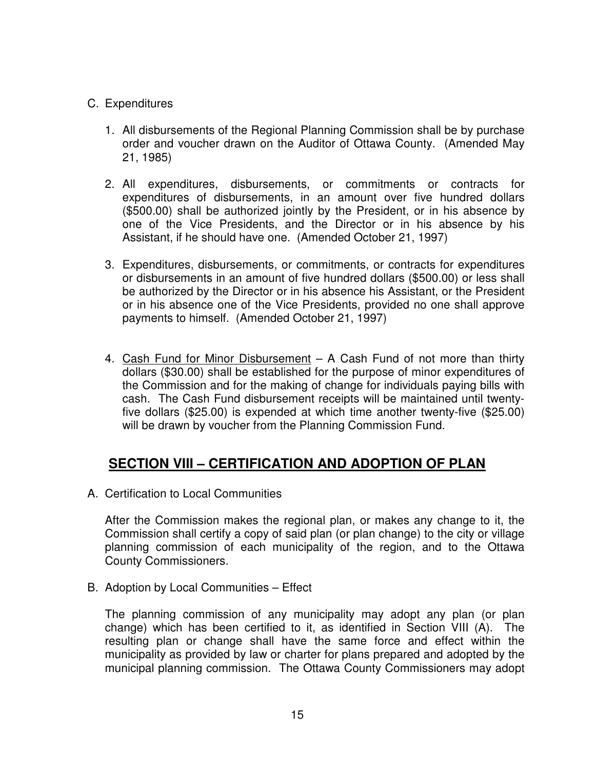## C. Expenditures

- 1. All disbursements of the Regional Planning Commission shall be by purchase order and voucher drawn on the Auditor of Ottawa County. (Amended May 21, 1985)
- 2. All expenditures, disbursements, or commitments or contracts for expenditures of disbursements, in an amount over five hundred dollars (\$500.00) shall be authorized jointly by the President, or in his absence by one of the Vice Presidents, and the Director or in his absence by his Assistant, if he should have one. (Amended October 21, 1997)
- 3. Expenditures, disbursements, or commitments, or contracts for expenditures or disbursements in an amount of five hundred dollars (\$500.00) or less shall be authorized by the Director or in his absence his Assistant, or the President or in his absence one of the Vice Presidents, provided no one shall approve payments to himself. (Amended October 21, 1997)
- 4. Cash Fund for Minor Disbursement A Cash Fund of not more than thirty dollars (\$30.00) shall be established for the purpose of minor expenditures of the Commission and for the making of change for individuals paying bills with cash. The Cash Fund disbursement receipts will be maintained until twentyfive dollars (\$25.00) is expended at which time another twenty-five (\$25.00) will be drawn by voucher from the Planning Commission Fund.

# **SECTION VIII – CERTIFICATION AND ADOPTION OF PLAN**

A. Certification to Local Communities

After the Commission makes the regional plan, or makes any change to it, the Commission shall certify a copy of said plan (or plan change) to the city or village planning commission of each municipality of the region, and to the Ottawa County Commissioners.

B. Adoption by Local Communities – Effect

The planning commission of any municipality may adopt any plan (or plan change) which has been certified to it, as identified in Section VIII (A). The resulting plan or change shall have the same force and effect within the municipality as provided by law or charter for plans prepared and adopted by the municipal planning commission. The Ottawa County Commissioners may adopt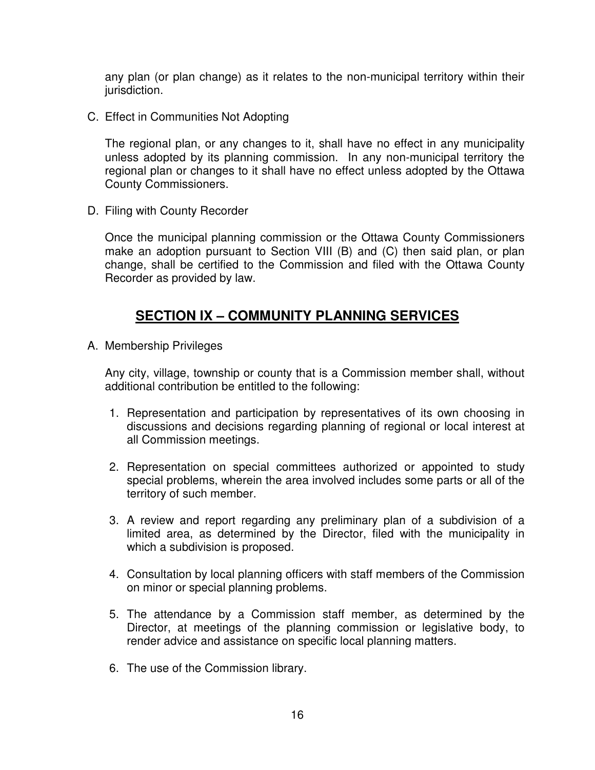any plan (or plan change) as it relates to the non-municipal territory within their jurisdiction.

C. Effect in Communities Not Adopting

The regional plan, or any changes to it, shall have no effect in any municipality unless adopted by its planning commission. In any non-municipal territory the regional plan or changes to it shall have no effect unless adopted by the Ottawa County Commissioners.

D. Filing with County Recorder

Once the municipal planning commission or the Ottawa County Commissioners make an adoption pursuant to Section VIII (B) and (C) then said plan, or plan change, shall be certified to the Commission and filed with the Ottawa County Recorder as provided by law.

## **SECTION IX – COMMUNITY PLANNING SERVICES**

A. Membership Privileges

Any city, village, township or county that is a Commission member shall, without additional contribution be entitled to the following:

- 1. Representation and participation by representatives of its own choosing in discussions and decisions regarding planning of regional or local interest at all Commission meetings.
- 2. Representation on special committees authorized or appointed to study special problems, wherein the area involved includes some parts or all of the territory of such member.
- 3. A review and report regarding any preliminary plan of a subdivision of a limited area, as determined by the Director, filed with the municipality in which a subdivision is proposed.
- 4. Consultation by local planning officers with staff members of the Commission on minor or special planning problems.
- 5. The attendance by a Commission staff member, as determined by the Director, at meetings of the planning commission or legislative body, to render advice and assistance on specific local planning matters.
- 6. The use of the Commission library.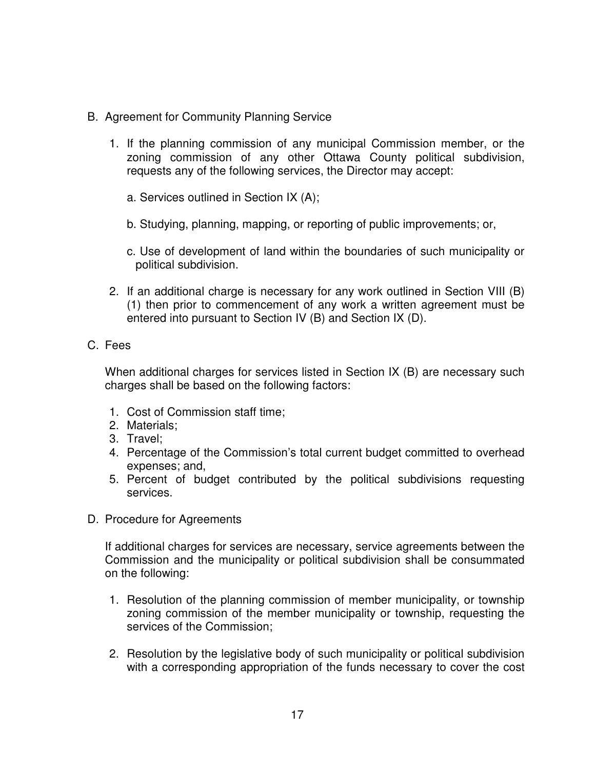- B. Agreement for Community Planning Service
	- 1. If the planning commission of any municipal Commission member, or the zoning commission of any other Ottawa County political subdivision, requests any of the following services, the Director may accept:
		- a. Services outlined in Section IX (A);
		- b. Studying, planning, mapping, or reporting of public improvements; or,
		- c. Use of development of land within the boundaries of such municipality or political subdivision.
	- 2. If an additional charge is necessary for any work outlined in Section VIII (B) (1) then prior to commencement of any work a written agreement must be entered into pursuant to Section IV (B) and Section IX (D).

## C. Fees

When additional charges for services listed in Section IX (B) are necessary such charges shall be based on the following factors:

- 1. Cost of Commission staff time;
- 2. Materials;
- 3. Travel;
- 4. Percentage of the Commission's total current budget committed to overhead expenses; and,
- 5. Percent of budget contributed by the political subdivisions requesting services.
- D. Procedure for Agreements

If additional charges for services are necessary, service agreements between the Commission and the municipality or political subdivision shall be consummated on the following:

- 1. Resolution of the planning commission of member municipality, or township zoning commission of the member municipality or township, requesting the services of the Commission;
- 2. Resolution by the legislative body of such municipality or political subdivision with a corresponding appropriation of the funds necessary to cover the cost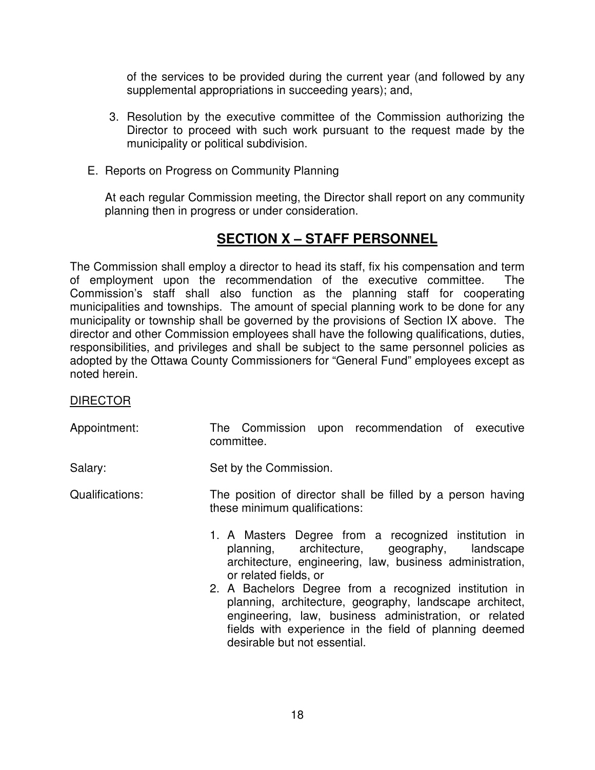of the services to be provided during the current year (and followed by any supplemental appropriations in succeeding years); and,

- 3. Resolution by the executive committee of the Commission authorizing the Director to proceed with such work pursuant to the request made by the municipality or political subdivision.
- E. Reports on Progress on Community Planning

At each regular Commission meeting, the Director shall report on any community planning then in progress or under consideration.

# **SECTION X – STAFF PERSONNEL**

The Commission shall employ a director to head its staff, fix his compensation and term of employment upon the recommendation of the executive committee. The Commission's staff shall also function as the planning staff for cooperating municipalities and townships. The amount of special planning work to be done for any municipality or township shall be governed by the provisions of Section IX above. The director and other Commission employees shall have the following qualifications, duties, responsibilities, and privileges and shall be subject to the same personnel policies as adopted by the Ottawa County Commissioners for "General Fund" employees except as noted herein.

## DIRECTOR

Appointment: The Commission upon recommendation of executive committee.

Salary: Salary: Set by the Commission.

- Qualifications: The position of director shall be filled by a person having these minimum qualifications:
	- 1. A Masters Degree from a recognized institution in planning, architecture, geography, landscape architecture, engineering, law, business administration, or related fields, or
	- 2. A Bachelors Degree from a recognized institution in planning, architecture, geography, landscape architect, engineering, law, business administration, or related fields with experience in the field of planning deemed desirable but not essential.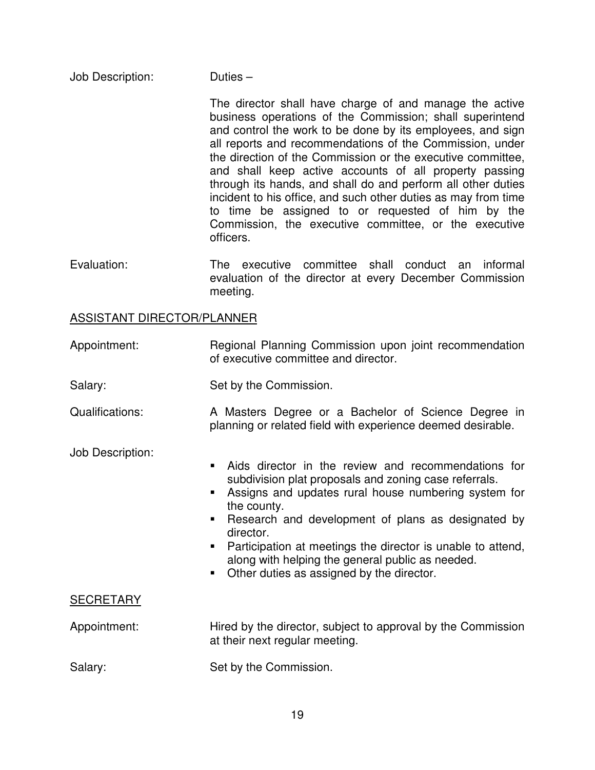Job Description: Duties –

The director shall have charge of and manage the active business operations of the Commission; shall superintend and control the work to be done by its employees, and sign all reports and recommendations of the Commission, under the direction of the Commission or the executive committee, and shall keep active accounts of all property passing through its hands, and shall do and perform all other duties incident to his office, and such other duties as may from time to time be assigned to or requested of him by the Commission, the executive committee, or the executive officers.

Evaluation: The executive committee shall conduct an informal evaluation of the director at every December Commission meeting.

### ASSISTANT DIRECTOR/PLANNER

Appointment: Regional Planning Commission upon joint recommendation of executive committee and director.

Salary: Set by the Commission.

Qualifications: A Masters Degree or a Bachelor of Science Degree in planning or related field with experience deemed desirable.

Job Description:

- Aids director in the review and recommendations for subdivision plat proposals and zoning case referrals.
- Assigns and updates rural house numbering system for the county.
- **-** Research and development of plans as designated by director.
- **Participation at meetings the director is unable to attend,** along with helping the general public as needed.
- Other duties as assigned by the director.

## **SECRETARY**

Appointment: Hired by the director, subject to approval by the Commission at their next regular meeting.

Salary: Salary: Set by the Commission.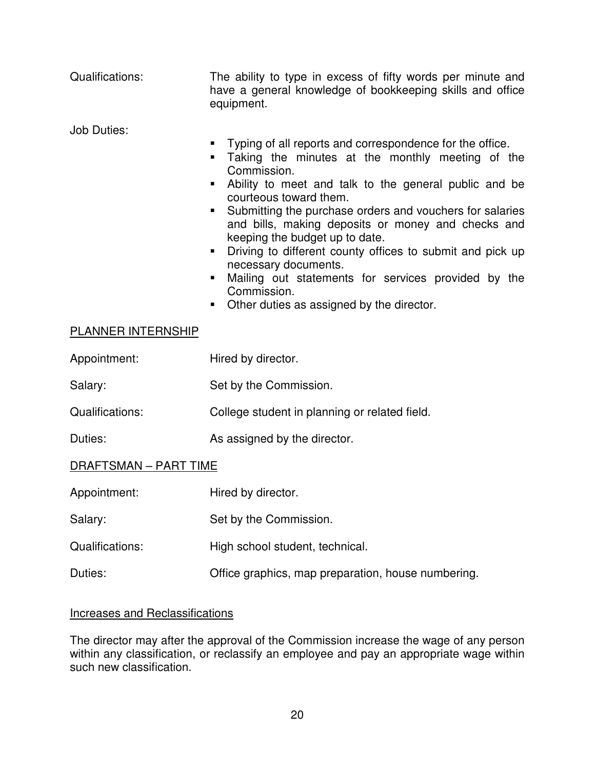| Qualifications:       | The ability to type in excess of fifty words per minute and<br>have a general knowledge of bookkeeping skills and office<br>equipment.                                                                                                                                                                                                                                                                                                                                                                                                                                                                                                                        |  |  |
|-----------------------|---------------------------------------------------------------------------------------------------------------------------------------------------------------------------------------------------------------------------------------------------------------------------------------------------------------------------------------------------------------------------------------------------------------------------------------------------------------------------------------------------------------------------------------------------------------------------------------------------------------------------------------------------------------|--|--|
| <b>Job Duties:</b>    | Typing of all reports and correspondence for the office.<br>٠<br>Taking the minutes at the monthly meeting of the<br>$\blacksquare$<br>Commission.<br>Ability to meet and talk to the general public and be<br>courteous toward them.<br>Submitting the purchase orders and vouchers for salaries<br>$\blacksquare$<br>and bills, making deposits or money and checks and<br>keeping the budget up to date.<br>Driving to different county offices to submit and pick up<br>$\blacksquare$<br>necessary documents.<br>Mailing out statements for services provided by the<br>ш<br>Commission.<br>Other duties as assigned by the director.<br><b>Contract</b> |  |  |
| PLANNER INTERNSHIP    |                                                                                                                                                                                                                                                                                                                                                                                                                                                                                                                                                                                                                                                               |  |  |
| Appointment:          | Hired by director.                                                                                                                                                                                                                                                                                                                                                                                                                                                                                                                                                                                                                                            |  |  |
| Salary:               | Set by the Commission.                                                                                                                                                                                                                                                                                                                                                                                                                                                                                                                                                                                                                                        |  |  |
| Qualifications:       | College student in planning or related field.                                                                                                                                                                                                                                                                                                                                                                                                                                                                                                                                                                                                                 |  |  |
| Duties:               | As assigned by the director.                                                                                                                                                                                                                                                                                                                                                                                                                                                                                                                                                                                                                                  |  |  |
| DRAFTSMAN - PART TIME |                                                                                                                                                                                                                                                                                                                                                                                                                                                                                                                                                                                                                                                               |  |  |
| Appointment:          | Hired by director.                                                                                                                                                                                                                                                                                                                                                                                                                                                                                                                                                                                                                                            |  |  |

| Salary:<br>Set by the Commission. |
|-----------------------------------|
|-----------------------------------|

Qualifications: High school student, technical.

Duties: Office graphics, map preparation, house numbering.

## Increases and Reclassifications

The director may after the approval of the Commission increase the wage of any person within any classification, or reclassify an employee and pay an appropriate wage within such new classification.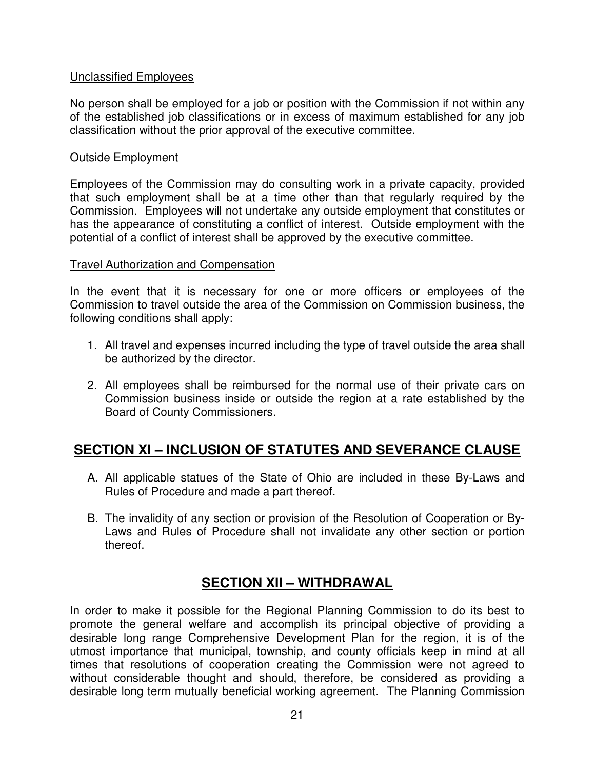## Unclassified Employees

No person shall be employed for a job or position with the Commission if not within any of the established job classifications or in excess of maximum established for any job classification without the prior approval of the executive committee.

## Outside Employment

Employees of the Commission may do consulting work in a private capacity, provided that such employment shall be at a time other than that regularly required by the Commission. Employees will not undertake any outside employment that constitutes or has the appearance of constituting a conflict of interest. Outside employment with the potential of a conflict of interest shall be approved by the executive committee.

## Travel Authorization and Compensation

In the event that it is necessary for one or more officers or employees of the Commission to travel outside the area of the Commission on Commission business, the following conditions shall apply:

- 1. All travel and expenses incurred including the type of travel outside the area shall be authorized by the director.
- 2. All employees shall be reimbursed for the normal use of their private cars on Commission business inside or outside the region at a rate established by the Board of County Commissioners.

# **SECTION XI – INCLUSION OF STATUTES AND SEVERANCE CLAUSE**

- A. All applicable statues of the State of Ohio are included in these By-Laws and Rules of Procedure and made a part thereof.
- B. The invalidity of any section or provision of the Resolution of Cooperation or By-Laws and Rules of Procedure shall not invalidate any other section or portion thereof.

# **SECTION XII – WITHDRAWAL**

In order to make it possible for the Regional Planning Commission to do its best to promote the general welfare and accomplish its principal objective of providing a desirable long range Comprehensive Development Plan for the region, it is of the utmost importance that municipal, township, and county officials keep in mind at all times that resolutions of cooperation creating the Commission were not agreed to without considerable thought and should, therefore, be considered as providing a desirable long term mutually beneficial working agreement. The Planning Commission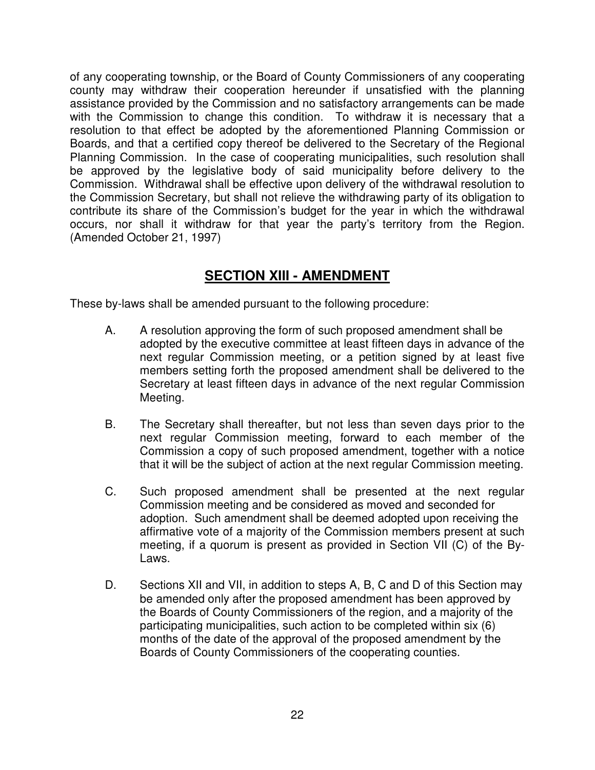of any cooperating township, or the Board of County Commissioners of any cooperating county may withdraw their cooperation hereunder if unsatisfied with the planning assistance provided by the Commission and no satisfactory arrangements can be made with the Commission to change this condition. To withdraw it is necessary that a resolution to that effect be adopted by the aforementioned Planning Commission or Boards, and that a certified copy thereof be delivered to the Secretary of the Regional Planning Commission. In the case of cooperating municipalities, such resolution shall be approved by the legislative body of said municipality before delivery to the Commission. Withdrawal shall be effective upon delivery of the withdrawal resolution to the Commission Secretary, but shall not relieve the withdrawing party of its obligation to contribute its share of the Commission's budget for the year in which the withdrawal occurs, nor shall it withdraw for that year the party's territory from the Region. (Amended October 21, 1997)

# **SECTION XIII - AMENDMENT**

These by-laws shall be amended pursuant to the following procedure:

- A. A resolution approving the form of such proposed amendment shall be adopted by the executive committee at least fifteen days in advance of the next regular Commission meeting, or a petition signed by at least five members setting forth the proposed amendment shall be delivered to the Secretary at least fifteen days in advance of the next regular Commission Meeting.
- B. The Secretary shall thereafter, but not less than seven days prior to the next regular Commission meeting, forward to each member of the Commission a copy of such proposed amendment, together with a notice that it will be the subject of action at the next regular Commission meeting.
- C. Such proposed amendment shall be presented at the next regular Commission meeting and be considered as moved and seconded for adoption. Such amendment shall be deemed adopted upon receiving the affirmative vote of a majority of the Commission members present at such meeting, if a quorum is present as provided in Section VII (C) of the By-Laws.
- D. Sections XII and VII, in addition to steps A, B, C and D of this Section may be amended only after the proposed amendment has been approved by the Boards of County Commissioners of the region, and a majority of the participating municipalities, such action to be completed within six (6) months of the date of the approval of the proposed amendment by the Boards of County Commissioners of the cooperating counties.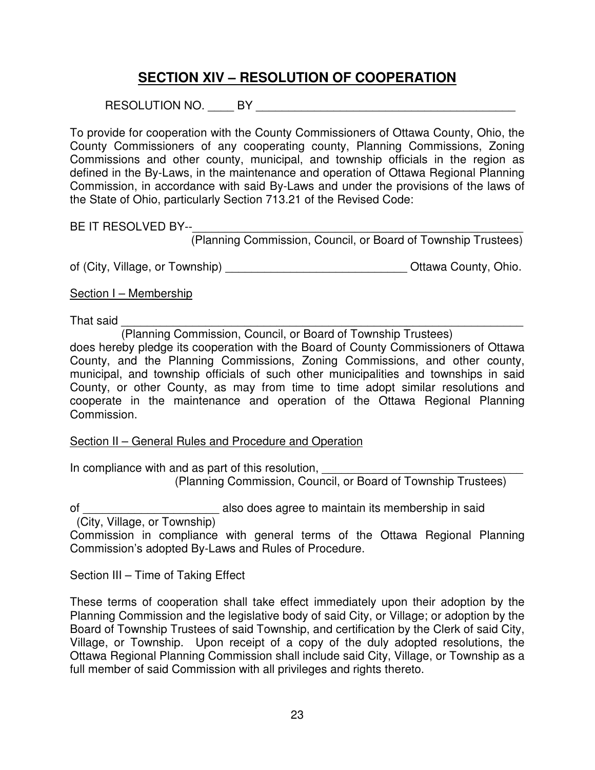# **SECTION XIV – RESOLUTION OF COOPERATION**

RESOLUTION NO. \_\_\_\_ BY \_\_\_\_\_\_\_\_\_\_\_\_\_\_\_\_\_\_\_\_\_\_\_\_\_\_\_\_\_\_\_\_\_\_\_\_\_\_\_\_

To provide for cooperation with the County Commissioners of Ottawa County, Ohio, the County Commissioners of any cooperating county, Planning Commissions, Zoning Commissions and other county, municipal, and township officials in the region as defined in the By-Laws, in the maintenance and operation of Ottawa Regional Planning Commission, in accordance with said By-Laws and under the provisions of the laws of the State of Ohio, particularly Section 713.21 of the Revised Code:

BE IT RESOLVED BY--\_\_\_\_\_\_\_\_\_\_\_\_\_\_\_\_\_\_\_\_\_\_\_\_\_\_\_\_\_\_\_\_\_\_\_\_\_\_\_\_\_\_\_\_\_\_\_\_\_\_\_

(Planning Commission, Council, or Board of Township Trustees)

of (City, Village, or Township) \_\_\_\_\_\_\_\_\_\_\_\_\_\_\_\_\_\_\_\_\_\_\_\_\_\_\_\_\_\_\_\_\_\_Ottawa County, Ohio.

Section I – Membership

That said \_\_\_\_\_\_\_\_\_\_\_\_\_\_\_\_\_\_\_\_\_\_\_\_\_\_\_\_\_\_\_\_\_\_\_\_\_\_\_\_\_\_\_\_\_\_\_\_\_\_\_\_\_\_\_\_\_\_\_\_\_\_

(Planning Commission, Council, or Board of Township Trustees)

does hereby pledge its cooperation with the Board of County Commissioners of Ottawa County, and the Planning Commissions, Zoning Commissions, and other county, municipal, and township officials of such other municipalities and townships in said County, or other County, as may from time to time adopt similar resolutions and cooperate in the maintenance and operation of the Ottawa Regional Planning Commission.

## Section II – General Rules and Procedure and Operation

In compliance with and as part of this resolution, (Planning Commission, Council, or Board of Township Trustees)

of \_\_\_\_\_\_\_\_\_\_\_\_\_\_\_\_\_\_\_\_\_ also does agree to maintain its membership in said

(City, Village, or Township)

Commission in compliance with general terms of the Ottawa Regional Planning Commission's adopted By-Laws and Rules of Procedure.

Section III – Time of Taking Effect

These terms of cooperation shall take effect immediately upon their adoption by the Planning Commission and the legislative body of said City, or Village; or adoption by the Board of Township Trustees of said Township, and certification by the Clerk of said City, Village, or Township. Upon receipt of a copy of the duly adopted resolutions, the Ottawa Regional Planning Commission shall include said City, Village, or Township as a full member of said Commission with all privileges and rights thereto.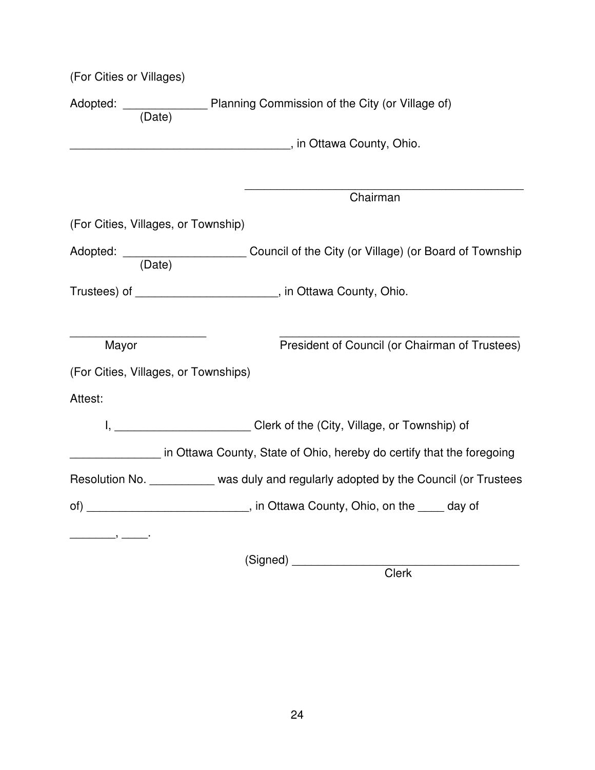| (For Cities or Villages)                                                                                                                                                                                                                                                                                                                                                                                                                      |                                                                                                                                                                                                                                     |
|-----------------------------------------------------------------------------------------------------------------------------------------------------------------------------------------------------------------------------------------------------------------------------------------------------------------------------------------------------------------------------------------------------------------------------------------------|-------------------------------------------------------------------------------------------------------------------------------------------------------------------------------------------------------------------------------------|
|                                                                                                                                                                                                                                                                                                                                                                                                                                               | Adopted: ____________________ Planning Commission of the City (or Village of)<br>(Date)                                                                                                                                             |
|                                                                                                                                                                                                                                                                                                                                                                                                                                               |                                                                                                                                                                                                                                     |
|                                                                                                                                                                                                                                                                                                                                                                                                                                               |                                                                                                                                                                                                                                     |
|                                                                                                                                                                                                                                                                                                                                                                                                                                               | Chairman                                                                                                                                                                                                                            |
| (For Cities, Villages, or Township)                                                                                                                                                                                                                                                                                                                                                                                                           |                                                                                                                                                                                                                                     |
|                                                                                                                                                                                                                                                                                                                                                                                                                                               | Adopted: ______________________________Council of the City (or Village) (or Board of Township (Date)                                                                                                                                |
|                                                                                                                                                                                                                                                                                                                                                                                                                                               | Trustees) of _________________________, in Ottawa County, Ohio.                                                                                                                                                                     |
|                                                                                                                                                                                                                                                                                                                                                                                                                                               |                                                                                                                                                                                                                                     |
| Mayor                                                                                                                                                                                                                                                                                                                                                                                                                                         | President of Council (or Chairman of Trustees)                                                                                                                                                                                      |
| (For Cities, Villages, or Townships)                                                                                                                                                                                                                                                                                                                                                                                                          |                                                                                                                                                                                                                                     |
| Attest:                                                                                                                                                                                                                                                                                                                                                                                                                                       |                                                                                                                                                                                                                                     |
|                                                                                                                                                                                                                                                                                                                                                                                                                                               | I, ____________________________Clerk of the (City, Village, or Township) of                                                                                                                                                         |
|                                                                                                                                                                                                                                                                                                                                                                                                                                               | in Ottawa County, State of Ohio, hereby do certify that the foregoing                                                                                                                                                               |
|                                                                                                                                                                                                                                                                                                                                                                                                                                               | Resolution No. __________ was duly and regularly adopted by the Council (or Trustees                                                                                                                                                |
|                                                                                                                                                                                                                                                                                                                                                                                                                                               | of) _______________________________, in Ottawa County, Ohio, on the _____ day of                                                                                                                                                    |
| $\overline{\phantom{a}}$ , $\overline{\phantom{a}}$ , $\overline{\phantom{a}}$ , $\overline{\phantom{a}}$ , $\overline{\phantom{a}}$ , $\overline{\phantom{a}}$ , $\overline{\phantom{a}}$ , $\overline{\phantom{a}}$ , $\overline{\phantom{a}}$ , $\overline{\phantom{a}}$ , $\overline{\phantom{a}}$ , $\overline{\phantom{a}}$ , $\overline{\phantom{a}}$ , $\overline{\phantom{a}}$ , $\overline{\phantom{a}}$ , $\overline{\phantom{a}}$ |                                                                                                                                                                                                                                     |
|                                                                                                                                                                                                                                                                                                                                                                                                                                               | (Signed) <u>support</u> and the set of the set of the set of the set of the set of the set of the set of the set of the set of the set of the set of the set of the set of the set of the set of the set of the set of the set of t |
|                                                                                                                                                                                                                                                                                                                                                                                                                                               | Clerk                                                                                                                                                                                                                               |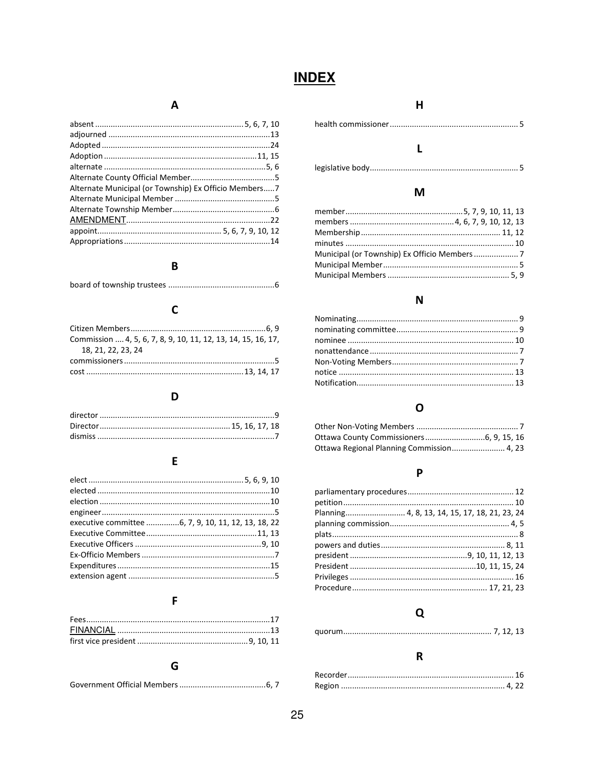# **INDEX**

### $\boldsymbol{\mathsf{A}}$

| Alternate Municipal (or Township) Ex Officio Members7 |  |
|-------------------------------------------------------|--|
|                                                       |  |
|                                                       |  |
|                                                       |  |
|                                                       |  |
|                                                       |  |
|                                                       |  |

#### $\mathbf B$

|--|--|

## $\mathbf C$

| Commission  4, 5, 6, 7, 8, 9, 10, 11, 12, 13, 14, 15, 16, 17, |  |
|---------------------------------------------------------------|--|
| 18.21.22.23.24                                                |  |
|                                                               |  |
|                                                               |  |

#### $\mathbf D$

### $E$

| executive committee 6, 7, 9, 10, 11, 12, 13, 18, 22 |  |
|-----------------------------------------------------|--|
|                                                     |  |
|                                                     |  |
|                                                     |  |
|                                                     |  |
|                                                     |  |
|                                                     |  |

#### $\mathsf F$

#### G

#### $\boldsymbol{\mathsf{H}}$

## $\mathbf L$

### $\boldsymbol{\mathsf{M}}$

## $\mathbf N$

## $\mathbf 0$

| Ottawa Regional Planning Commission 4, 23 |  |
|-------------------------------------------|--|

## $\mathsf{P}$

| Planning 4, 8, 13, 14, 15, 17, 18, 21, 23, 24 |  |
|-----------------------------------------------|--|
|                                               |  |
|                                               |  |
|                                               |  |
|                                               |  |
|                                               |  |
|                                               |  |
|                                               |  |
|                                               |  |

## $\mathbf Q$

|--|

#### ${\sf R}$